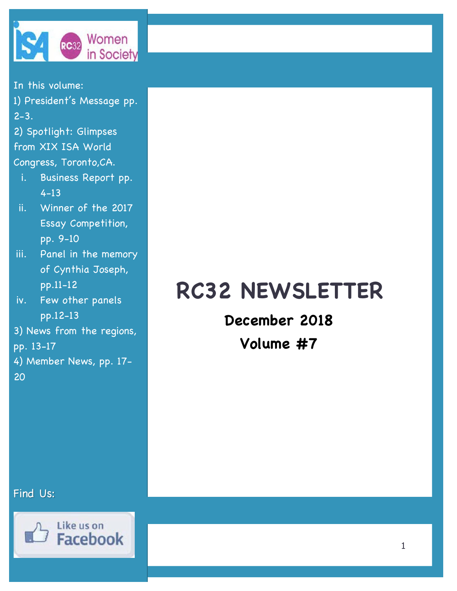

In this volume: 1) President's Message pp.

 $2 - 3$ .

2) Spotlight: Glimpses from XIX ISA World Congress, Toronto,CA.

- i. Business Report pp. 4-13
- ii. Winner of the 2017 Essay Competition, pp. 9-10
- iii. Panel in the memory of Cynthia Joseph, pp.11-12
- iv. Few other panels pp.12-13
- 3) News from the regions,

pp. 13-17

- 4) Member News, pp. 17-
- 20

# **RC32 NEWSLETTER**

**December 2018 Volume #7**

Find Us:

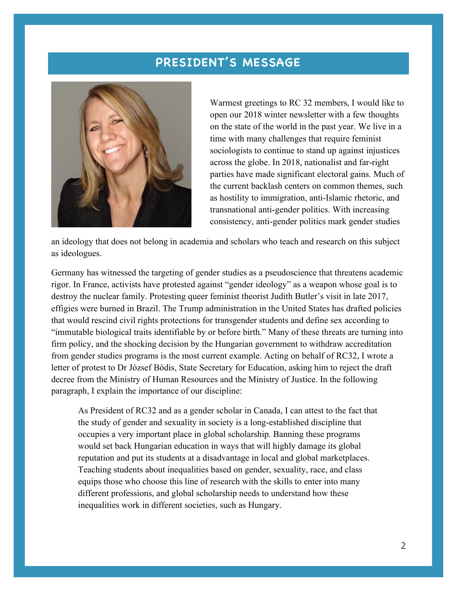## **PRESIDENT'S MESSAGE**



Warmest greetings to RC 32 members, I would like to open our 2018 winter newsletter with a few thoughts on the state of the world in the past year. We live in a time with many challenges that require feminist sociologists to continue to stand up against injustices across the globe. In 2018, nationalist and far-right parties have made significant electoral gains. Much of the current backlash centers on common themes, such as hostility to immigration, anti-Islamic rhetoric, and transnational anti-gender politics. With increasing consistency, anti-gender politics mark gender studies

an ideology that does not belong in academia and scholars who teach and research on this subject as ideologues.

Germany has witnessed the targeting of gender studies as a pseudoscience that threatens academic rigor. In France, activists have protested against "gender ideology" as a weapon whose goal is to destroy the nuclear family. Protesting queer feminist theorist Judith Butler's visit in late 2017, effigies were burned in Brazil. The Trump administration in the United States has drafted policies that would rescind civil rights protections for transgender students and define sex according to "immutable biological traits identifiable by or before birth." Many of these threats are turning into firm policy, and the shocking decision by the Hungarian government to withdraw accreditation from gender studies programs is the most current example. Acting on behalf of RC32, I wrote a letter of protest to Dr József Bódis, State Secretary for Education, asking him to reject the draft decree from the Ministry of Human Resources and the Ministry of Justice. In the following paragraph, I explain the importance of our discipline:

As President of RC32 and as a gender scholar in Canada, I can attest to the fact that the study of gender and sexuality in society is a long-established discipline that occupies a very important place in global scholarship. Banning these programs would set back Hungarian education in ways that will highly damage its global reputation and put its students at a disadvantage in local and global marketplaces. Teaching students about inequalities based on gender, sexuality, race, and class equips those who choose this line of research with the skills to enter into many different professions, and global scholarship needs to understand how these inequalities work in different societies, such as Hungary.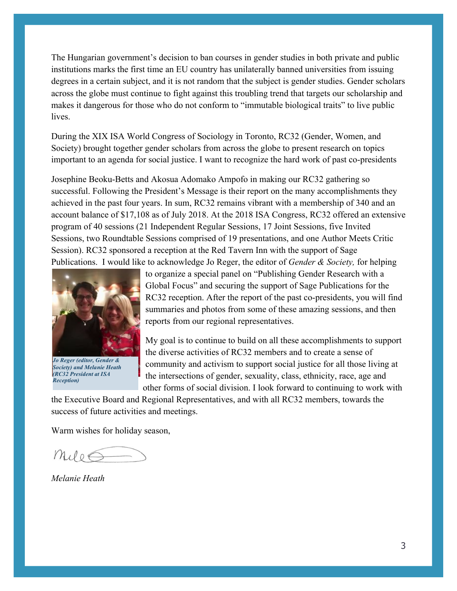The Hungarian government's decision to ban courses in gender studies in both private and public institutions marks the first time an EU country has unilaterally banned universities from issuing degrees in a certain subject, and it is not random that the subject is gender studies. Gender scholars across the globe must continue to fight against this troubling trend that targets our scholarship and makes it dangerous for those who do not conform to "immutable biological traits" to live public **lives** 

During the XIX ISA World Congress of Sociology in Toronto, RC32 (Gender, Women, and Society) brought together gender scholars from across the globe to present research on topics important to an agenda for social justice. I want to recognize the hard work of past co-presidents

Josephine Beoku-Betts and Akosua Adomako Ampofo in making our RC32 gathering so successful. Following the President's Message is their report on the many accomplishments they achieved in the past four years. In sum, RC32 remains vibrant with a membership of 340 and an account balance of \$17,108 as of July 2018. At the 2018 ISA Congress, RC32 offered an extensive program of 40 sessions (21 Independent Regular Sessions, 17 Joint Sessions, five Invited Sessions, two Roundtable Sessions comprised of 19 presentations, and one Author Meets Critic Session). RC32 sponsored a reception at the Red Tavern Inn with the support of Sage Publications. I would like to acknowledge Jo Reger, the editor of *Gender & Society,* for helping



*Jo Reger (editor, Gender & Society) and Melanie Heath (RC32 President at ISA Reception)*

to organize a special panel on "Publishing Gender Research with a Global Focus" and securing the support of Sage Publications for the RC32 reception. After the report of the past co-presidents, you will find summaries and photos from some of these amazing sessions, and then reports from our regional representatives.

My goal is to continue to build on all these accomplishments to support the diverse activities of RC32 members and to create a sense of community and activism to support social justice for all those living at the intersections of gender, sexuality, class, ethnicity, race, age and other forms of social division. I look forward to continuing to work with

the Executive Board and Regional Representatives, and with all RC32 members, towards the success of future activities and meetings.

Warm wishes for holiday season,

 $m_{ul}$ 

*Melanie Heath*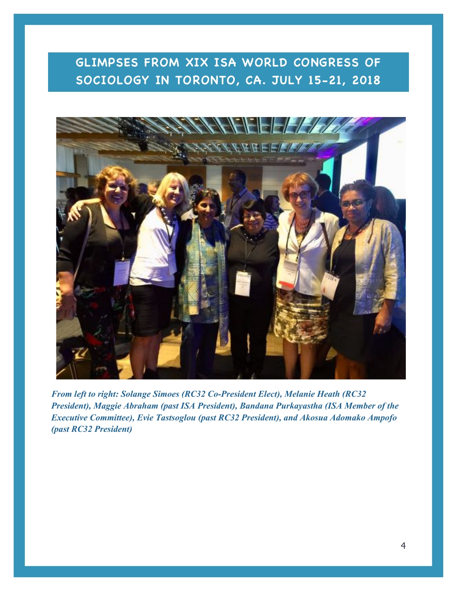# **GLIMPSES FROM XIX ISA WORLD CONGRESS OF SOCIOLOGY IN TORONTO, CA. JULY 15-21, 2018**



*From left to right: Solange Simoes (RC32 Co-President Elect), Melanie Heath (RC32 President), Maggie Abraham (past ISA President), Bandana Purkayastha (ISA Member of the Executive Committee), Evie Tastsoglou (past RC32 President), and Akosua Adomako Ampofo (past RC32 President)*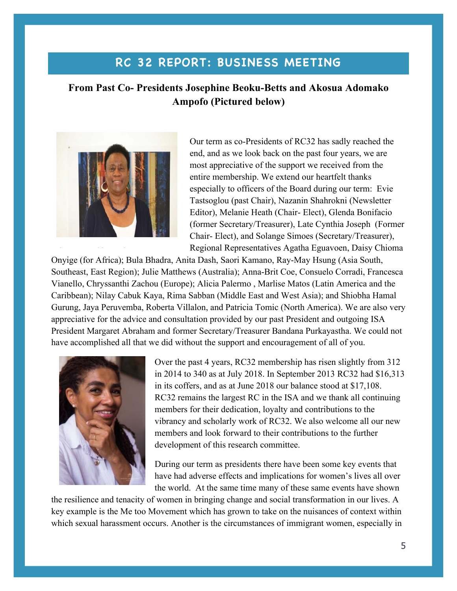## **RC 32 REPORT: BUSINESS MEETING**

## **From Past Co- Presidents Josephine Beoku-Betts and Akosua Adomako Ampofo (Pictured below)**



Our term as co-Presidents of RC32 has sadly reached the end, and as we look back on the past four years, we are most appreciative of the support we received from the entire membership. We extend our heartfelt thanks especially to officers of the Board during our term: Evie Tastsoglou (past Chair), Nazanin Shahrokni (Newsletter Editor), Melanie Heath (Chair- Elect), Glenda Bonifacio (former Secretary/Treasurer), Late Cynthia Joseph (Former Chair- Elect), and Solange Simoes (Secretary/Treasurer), Regional Representatives Agatha Eguavoen, Daisy Chioma

Onyige (for Africa); Bula Bhadra, Anita Dash, Saori Kamano, Ray-May Hsung (Asia South, Southeast, East Region); Julie Matthews (Australia); Anna-Brit Coe, Consuelo Corradi, Francesca Vianello, Chryssanthi Zachou (Europe); Alicia Palermo , Marlise Matos (Latin America and the Caribbean); Nilay Cabuk Kaya, Rima Sabban (Middle East and West Asia); and Shiobha Hamal Gurung, Jaya Peruvemba, Roberta Villalon, and Patricia Tomic (North America). We are also very appreciative for the advice and consultation provided by our past President and outgoing ISA President Margaret Abraham and former Secretary/Treasurer Bandana Purkayastha. We could not have accomplished all that we did without the support and encouragement of all of you.



Over the past 4 years, RC32 membership has risen slightly from 312 in 2014 to 340 as at July 2018. In September 2013 RC32 had \$16,313 in its coffers, and as at June 2018 our balance stood at \$17,108. RC32 remains the largest RC in the ISA and we thank all continuing members for their dedication, loyalty and contributions to the vibrancy and scholarly work of RC32. We also welcome all our new members and look forward to their contributions to the further development of this research committee.

During our term as presidents there have been some key events that have had adverse effects and implications for women's lives all over the world. At the same time many of these same events have shown

the resilience and tenacity of women in bringing change and social transformation in our lives. A key example is the Me too Movement which has grown to take on the nuisances of context within which sexual harassment occurs. Another is the circumstances of immigrant women, especially in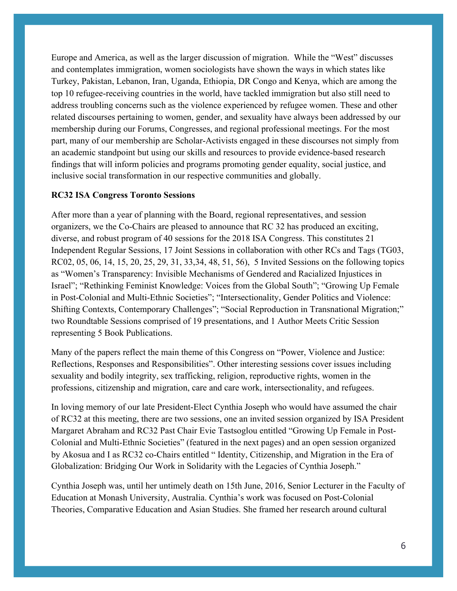Europe and America, as well as the larger discussion of migration. While the "West" discusses and contemplates immigration, women sociologists have shown the ways in which states like Turkey, Pakistan, Lebanon, Iran, Uganda, Ethiopia, DR Congo and Kenya, which are among the top 10 refugee-receiving countries in the world, have tackled immigration but also still need to address troubling concerns such as the violence experienced by refugee women. These and other related discourses pertaining to women, gender, and sexuality have always been addressed by our membership during our Forums, Congresses, and regional professional meetings. For the most part, many of our membership are Scholar-Activists engaged in these discourses not simply from an academic standpoint but using our skills and resources to provide evidence-based research findings that will inform policies and programs promoting gender equality, social justice, and inclusive social transformation in our respective communities and globally.

#### **RC32 ISA Congress Toronto Sessions**

After more than a year of planning with the Board, regional representatives, and session organizers, we the Co-Chairs are pleased to announce that RC 32 has produced an exciting, diverse, and robust program of 40 sessions for the 2018 ISA Congress. This constitutes 21 Independent Regular Sessions, 17 Joint Sessions in collaboration with other RCs and Tags (TG03, RC02, 05, 06, 14, 15, 20, 25, 29, 31, 33,34, 48, 51, 56), 5 Invited Sessions on the following topics as "Women's Transparency: Invisible Mechanisms of Gendered and Racialized Injustices in Israel"; "Rethinking Feminist Knowledge: Voices from the Global South"; "Growing Up Female in Post-Colonial and Multi-Ethnic Societies"; "Intersectionality, Gender Politics and Violence: Shifting Contexts, Contemporary Challenges"; "Social Reproduction in Transnational Migration;" two Roundtable Sessions comprised of 19 presentations, and 1 Author Meets Critic Session representing 5 Book Publications.

Many of the papers reflect the main theme of this Congress on "Power, Violence and Justice: Reflections, Responses and Responsibilities". Other interesting sessions cover issues including sexuality and bodily integrity, sex trafficking, religion, reproductive rights, women in the professions, citizenship and migration, care and care work, intersectionality, and refugees.

In loving memory of our late President-Elect Cynthia Joseph who would have assumed the chair of RC32 at this meeting, there are two sessions, one an invited session organized by ISA President Margaret Abraham and RC32 Past Chair Evie Tastsoglou entitled "Growing Up Female in Post-Colonial and Multi-Ethnic Societies" (featured in the next pages) and an open session organized by Akosua and I as RC32 co-Chairs entitled " Identity, Citizenship, and Migration in the Era of Globalization: Bridging Our Work in Solidarity with the Legacies of Cynthia Joseph."

Cynthia Joseph was, until her untimely death on 15th June, 2016, Senior Lecturer in the Faculty of Education at Monash University, Australia. Cynthia's work was focused on Post-Colonial Theories, Comparative Education and Asian Studies. She framed her research around cultural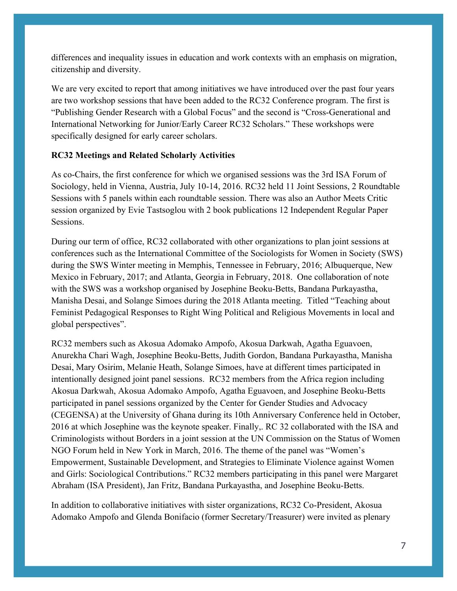differences and inequality issues in education and work contexts with an emphasis on migration, citizenship and diversity.

We are very excited to report that among initiatives we have introduced over the past four years are two workshop sessions that have been added to the RC32 Conference program. The first is "Publishing Gender Research with a Global Focus" and the second is "Cross-Generational and International Networking for Junior/Early Career RC32 Scholars." These workshops were specifically designed for early career scholars.

## **RC32 Meetings and Related Scholarly Activities**

As co-Chairs, the first conference for which we organised sessions was the 3rd ISA Forum of Sociology, held in Vienna, Austria, July 10-14, 2016. RC32 held 11 Joint Sessions, 2 Roundtable Sessions with 5 panels within each roundtable session. There was also an Author Meets Critic session organized by Evie Tastsoglou with 2 book publications 12 Independent Regular Paper Sessions.

During our term of office, RC32 collaborated with other organizations to plan joint sessions at conferences such as the International Committee of the Sociologists for Women in Society (SWS) during the SWS Winter meeting in Memphis, Tennessee in February, 2016; Albuquerque, New Mexico in February, 2017; and Atlanta, Georgia in February, 2018. One collaboration of note with the SWS was a workshop organised by Josephine Beoku-Betts, Bandana Purkayastha, Manisha Desai, and Solange Simoes during the 2018 Atlanta meeting. Titled "Teaching about Feminist Pedagogical Responses to Right Wing Political and Religious Movements in local and global perspectives".

RC32 members such as Akosua Adomako Ampofo, Akosua Darkwah, Agatha Eguavoen, Anurekha Chari Wagh, Josephine Beoku-Betts, Judith Gordon, Bandana Purkayastha, Manisha Desai, Mary Osirim, Melanie Heath, Solange Simoes, have at different times participated in intentionally designed joint panel sessions. RC32 members from the Africa region including Akosua Darkwah, Akosua Adomako Ampofo, Agatha Eguavoen, and Josephine Beoku-Betts participated in panel sessions organized by the Center for Gender Studies and Advocacy (CEGENSA) at the University of Ghana during its 10th Anniversary Conference held in October, 2016 at which Josephine was the keynote speaker. Finally,. RC 32 collaborated with the ISA and Criminologists without Borders in a joint session at the UN Commission on the Status of Women NGO Forum held in New York in March, 2016. The theme of the panel was "Women's Empowerment, Sustainable Development, and Strategies to Eliminate Violence against Women and Girls: Sociological Contributions." RC32 members participating in this panel were Margaret Abraham (ISA President), Jan Fritz, Bandana Purkayastha, and Josephine Beoku-Betts.

In addition to collaborative initiatives with sister organizations, RC32 Co-President, Akosua Adomako Ampofo and Glenda Bonifacio (former Secretary/Treasurer) were invited as plenary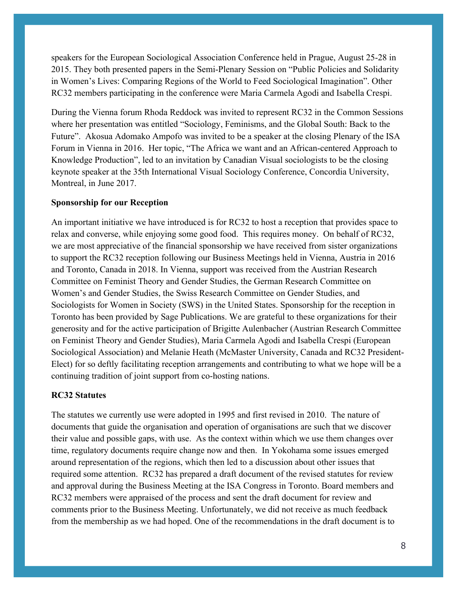speakers for the European Sociological Association Conference held in Prague, August 25-28 in 2015. They both presented papers in the Semi-Plenary Session on "Public Policies and Solidarity in Women's Lives: Comparing Regions of the World to Feed Sociological Imagination". Other RC32 members participating in the conference were Maria Carmela Agodi and Isabella Crespi.

During the Vienna forum Rhoda Reddock was invited to represent RC32 in the Common Sessions where her presentation was entitled "Sociology, Feminisms, and the Global South: Back to the Future". Akosua Adomako Ampofo was invited to be a speaker at the closing Plenary of the ISA Forum in Vienna in 2016. Her topic, "The Africa we want and an African-centered Approach to Knowledge Production", led to an invitation by Canadian Visual sociologists to be the closing keynote speaker at the 35th International Visual Sociology Conference, Concordia University, Montreal, in June 2017.

#### **Sponsorship for our Reception**

An important initiative we have introduced is for RC32 to host a reception that provides space to relax and converse, while enjoying some good food. This requires money. On behalf of RC32, we are most appreciative of the financial sponsorship we have received from sister organizations to support the RC32 reception following our Business Meetings held in Vienna, Austria in 2016 and Toronto, Canada in 2018. In Vienna, support was received from the Austrian Research Committee on Feminist Theory and Gender Studies, the German Research Committee on Women's and Gender Studies, the Swiss Research Committee on Gender Studies, and Sociologists for Women in Society (SWS) in the United States. Sponsorship for the reception in Toronto has been provided by Sage Publications. We are grateful to these organizations for their generosity and for the active participation of Brigitte Aulenbacher (Austrian Research Committee on Feminist Theory and Gender Studies), Maria Carmela Agodi and Isabella Crespi (European Sociological Association) and Melanie Heath (McMaster University, Canada and RC32 President-Elect) for so deftly facilitating reception arrangements and contributing to what we hope will be a continuing tradition of joint support from co-hosting nations.

#### **RC32 Statutes**

The statutes we currently use were adopted in 1995 and first revised in 2010. The nature of documents that guide the organisation and operation of organisations are such that we discover their value and possible gaps, with use. As the context within which we use them changes over time, regulatory documents require change now and then. In Yokohama some issues emerged around representation of the regions, which then led to a discussion about other issues that required some attention. RC32 has prepared a draft document of the revised statutes for review and approval during the Business Meeting at the ISA Congress in Toronto. Board members and RC32 members were appraised of the process and sent the draft document for review and comments prior to the Business Meeting. Unfortunately, we did not receive as much feedback from the membership as we had hoped. One of the recommendations in the draft document is to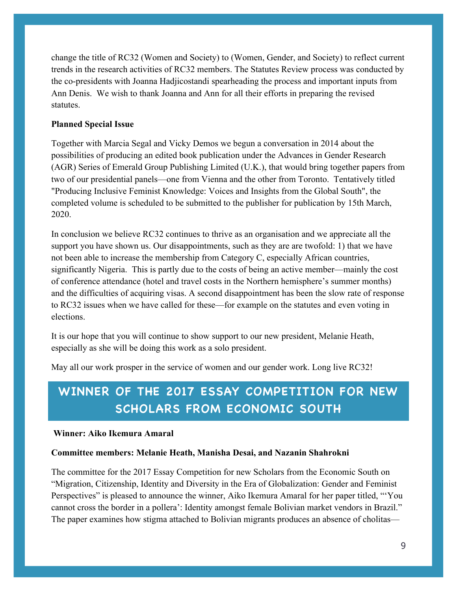change the title of RC32 (Women and Society) to (Women, Gender, and Society) to reflect current trends in the research activities of RC32 members. The Statutes Review process was conducted by the co-presidents with Joanna Hadjicostandi spearheading the process and important inputs from Ann Denis. We wish to thank Joanna and Ann for all their efforts in preparing the revised statutes.

### **Planned Special Issue**

Together with Marcia Segal and Vicky Demos we begun a conversation in 2014 about the possibilities of producing an edited book publication under the Advances in Gender Research (AGR) Series of Emerald Group Publishing Limited (U.K.), that would bring together papers from two of our presidential panels—one from Vienna and the other from Toronto. Tentatively titled "Producing Inclusive Feminist Knowledge: Voices and Insights from the Global South", the completed volume is scheduled to be submitted to the publisher for publication by 15th March, 2020.

In conclusion we believe RC32 continues to thrive as an organisation and we appreciate all the support you have shown us. Our disappointments, such as they are are twofold: 1) that we have not been able to increase the membership from Category C, especially African countries, significantly Nigeria. This is partly due to the costs of being an active member—mainly the cost of conference attendance (hotel and travel costs in the Northern hemisphere's summer months) and the difficulties of acquiring visas. A second disappointment has been the slow rate of response to RC32 issues when we have called for these—for example on the statutes and even voting in elections.

It is our hope that you will continue to show support to our new president, Melanie Heath, especially as she will be doing this work as a solo president.

May all our work prosper in the service of women and our gender work. Long live RC32!

# **WINNER OF THE 2017 ESSAY COMPETITION FOR NEW SCHOLARS FROM ECONOMIC SOUTH**

### **Winner: Aiko Ikemura Amaral**

### **Committee members: Melanie Heath, Manisha Desai, and Nazanin Shahrokni**

The committee for the 2017 Essay Competition for new Scholars from the Economic South on "Migration, Citizenship, Identity and Diversity in the Era of Globalization: Gender and Feminist Perspectives" is pleased to announce the winner, Aiko Ikemura Amaral for her paper titled, "'You cannot cross the border in a pollera': Identity amongst female Bolivian market vendors in Brazil." The paper examines how stigma attached to Bolivian migrants produces an absence of cholitas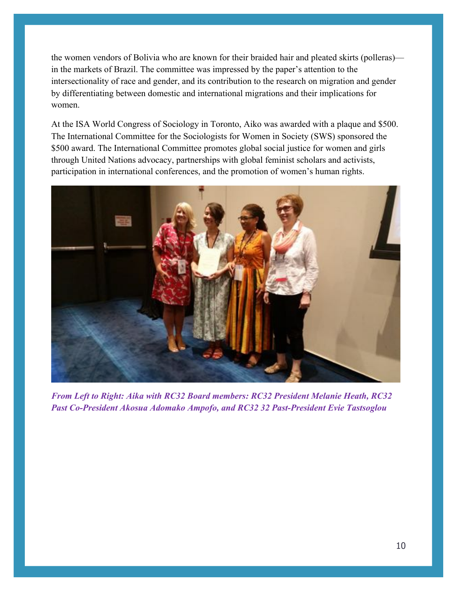the women vendors of Bolivia who are known for their braided hair and pleated skirts (polleras) in the markets of Brazil. The committee was impressed by the paper's attention to the intersectionality of race and gender, and its contribution to the research on migration and gender by differentiating between domestic and international migrations and their implications for women.

At the ISA World Congress of Sociology in Toronto, Aiko was awarded with a plaque and \$500. The International Committee for the Sociologists for Women in Society (SWS) sponsored the \$500 award. The International Committee promotes global social justice for women and girls through United Nations advocacy, partnerships with global feminist scholars and activists, participation in international conferences, and the promotion of women's human rights.



*From Left to Right: Aika with RC32 Board members: RC32 President Melanie Heath, RC32 Past Co-President Akosua Adomako Ampofo, and RC32 32 Past-President Evie Tastsoglou*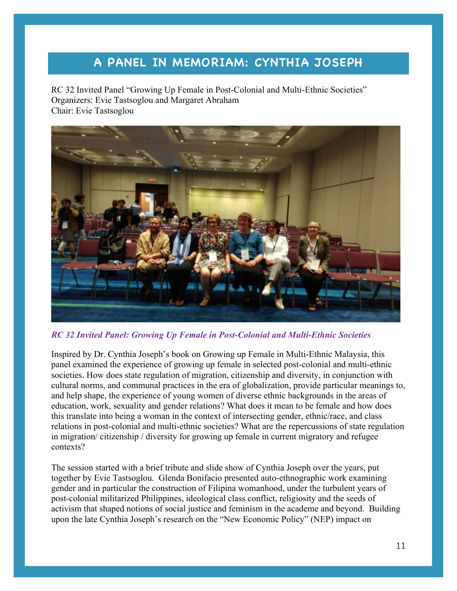# **A PANEL IN MEMORIAM: CYNTHIA JOSEPH**

RC 32 Invited Panel "Growing Up Female in Post-Colonial and Multi-Ethnic Societies" Organizers: Evie Tastsoglou and Margaret Abraham Chair: Evie Tastsoglou



*RC 32 Invited Panel: Growing Up Female in Post-Colonial and Multi-Ethnic Societies*

Inspired by Dr. Cynthia Joseph's book on Growing up Female in Multi-Ethnic Malaysia, this panel examined the experience of growing up female in selected post-colonial and multi-ethnic societies. How does state regulation of migration, citizenship and diversity, in conjunction with cultural norms, and communal practices in the era of globalization, provide particular meanings to, and help shape, the experience of young women of diverse ethnic backgrounds in the areas of education, work, sexuality and gender relations? What does it mean to be female and how does this translate into being a woman in the context of intersecting gender, ethnic/race, and class relations in post-colonial and multi-ethnic societies? What are the repercussions of state regulation in migration/ citizenship / diversity for growing up female in current migratory and refugee contexts?

The session started with a brief tribute and slide show of Cynthia Joseph over the years, put together by Evie Tastsoglou. Glenda Bonifacio presented auto-ethnographic work examining gender and in particular the construction of Filipina womanhood, under the turbulent years of post-colonial militarized Philippines, ideological class conflict, religiosity and the seeds of activism that shaped notions of social justice and feminism in the academe and beyond. Building upon the late Cynthia Joseph's research on the "New Economic Policy" (NEP) impact on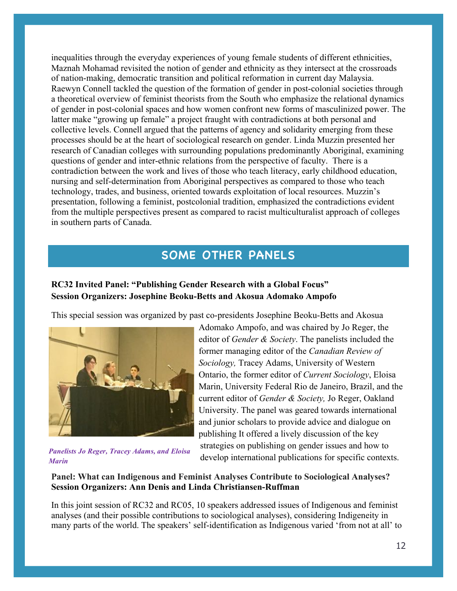inequalities through the everyday experiences of young female students of different ethnicities, Maznah Mohamad revisited the notion of gender and ethnicity as they intersect at the crossroads of nation-making, democratic transition and political reformation in current day Malaysia. Raewyn Connell tackled the question of the formation of gender in post-colonial societies through a theoretical overview of feminist theorists from the South who emphasize the relational dynamics of gender in post-colonial spaces and how women confront new forms of masculinized power. The latter make "growing up female" a project fraught with contradictions at both personal and collective levels. Connell argued that the patterns of agency and solidarity emerging from these processes should be at the heart of sociological research on gender. Linda Muzzin presented her research of Canadian colleges with surrounding populations predominantly Aboriginal, examining questions of gender and inter-ethnic relations from the perspective of faculty. There is a contradiction between the work and lives of those who teach literacy, early childhood education, nursing and self-determination from Aboriginal perspectives as compared to those who teach technology, trades, and business, oriented towards exploitation of local resources. Muzzin's presentation, following a feminist, postcolonial tradition, emphasized the contradictions evident from the multiple perspectives present as compared to racist multiculturalist approach of colleges in southern parts of Canada.

## **SOME OTHER PANELS**

## **RC32 Invited Panel: "Publishing Gender Research with a Global Focus" Session Organizers: Josephine Beoku-Betts and Akosua Adomako Ampofo**

This special session was organized by past co-presidents Josephine Beoku-Betts and Akosua



Adomako Ampofo, and was chaired by Jo Reger, the editor of *Gender & Society*. The panelists included the former managing editor of the *Canadian Review of Sociology,* Tracey Adams, University of Western Ontario, the former editor of *Current Sociology*, Eloisa Marin, University Federal Rio de Janeiro, Brazil, and the current editor of *Gender & Society,* Jo Reger, Oakland University. The panel was geared towards international and junior scholars to provide advice and dialogue on publishing It offered a lively discussion of the key strategies on publishing on gender issues and how to develop international publications for specific contexts.

*Panelists Jo Reger, Tracey Adams, and Eloisa Marin* 

#### **Panel: What can Indigenous and Feminist Analyses Contribute to Sociological Analyses? Session Organizers: Ann Denis and Linda Christiansen-Ruffman**

In this joint session of RC32 and RC05, 10 speakers addressed issues of Indigenous and feminist analyses (and their possible contributions to sociological analyses), considering Indigeneity in many parts of the world. The speakers' self-identification as Indigenous varied 'from not at all' to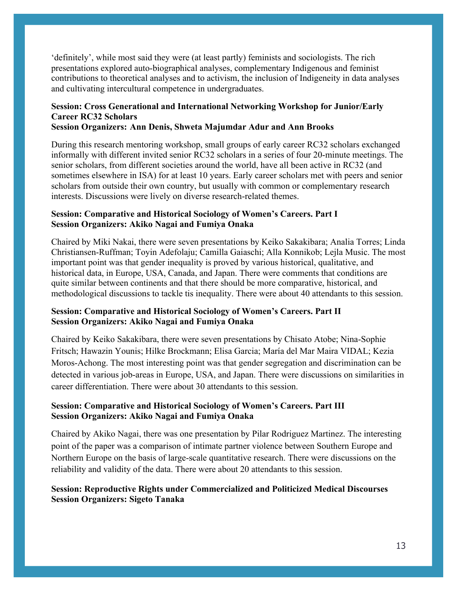'definitely', while most said they were (at least partly) feminists and sociologists. The rich presentations explored auto-biographical analyses, complementary Indigenous and feminist contributions to theoretical analyses and to activism, the inclusion of Indigeneity in data analyses and cultivating intercultural competence in undergraduates.

## **Session: Cross Generational and International Networking Workshop for Junior/Early Career RC32 Scholars**

#### **Session Organizers: Ann Denis, Shweta Majumdar Adur and Ann Brooks**

During this research mentoring workshop, small groups of early career RC32 scholars exchanged informally with different invited senior RC32 scholars in a series of four 20-minute meetings. The senior scholars, from different societies around the world, have all been active in RC32 (and sometimes elsewhere in ISA) for at least 10 years. Early career scholars met with peers and senior scholars from outside their own country, but usually with common or complementary research interests. Discussions were lively on diverse research-related themes.

#### **Session: Comparative and Historical Sociology of Women's Careers. Part I Session Organizers: Akiko Nagai and Fumiya Onaka**

Chaired by Miki Nakai, there were seven presentations by Keiko Sakakibara; Analia Torres; Linda Christiansen-Ruffman; Toyin Adefolaju; Camilla Gaiaschi; Alla Konnikob; Lejla Music. The most important point was that gender inequality is proved by various historical, qualitative, and historical data, in Europe, USA, Canada, and Japan. There were comments that conditions are quite similar between continents and that there should be more comparative, historical, and methodological discussions to tackle tis inequality. There were about 40 attendants to this session.

#### **Session: Comparative and Historical Sociology of Women's Careers. Part II Session Organizers: Akiko Nagai and Fumiya Onaka**

Chaired by Keiko Sakakibara, there were seven presentations by Chisato Atobe; Nina-Sophie Fritsch; Hawazin Younis; Hilke Brockmann; Elisa Garcia; María del Mar Maira VIDAL; Kezia Moros-Achong. The most interesting point was that gender segregation and discrimination can be detected in various job-areas in Europe, USA, and Japan. There were discussions on similarities in career differentiation. There were about 30 attendants to this session.

#### **Session: Comparative and Historical Sociology of Women's Careers. Part III Session Organizers: Akiko Nagai and Fumiya Onaka**

Chaired by Akiko Nagai, there was one presentation by Pilar Rodriguez Martinez. The interesting point of the paper was a comparison of intimate partner violence between Southern Europe and Northern Europe on the basis of large-scale quantitative research. There were discussions on the reliability and validity of the data. There were about 20 attendants to this session.

#### **Session: Reproductive Rights under Commercialized and Politicized Medical Discourses Session Organizers: Sigeto Tanaka**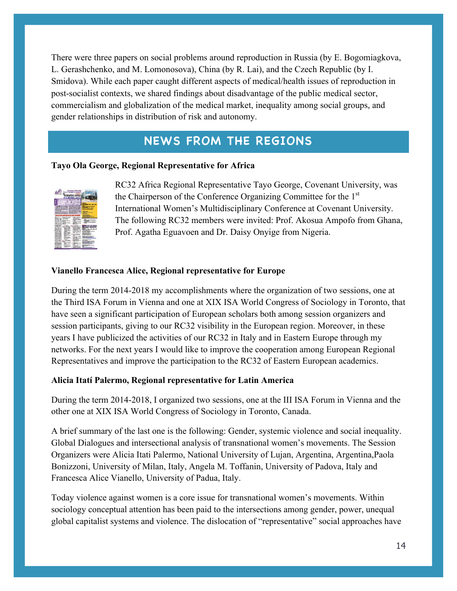There were three papers on social problems around reproduction in Russia (by E. Bogomiagkova, L. Gerashchenko, and M. Lomonosova), China (by R. Lai), and the Czech Republic (by I. Smidova). While each paper caught different aspects of medical/health issues of reproduction in post-socialist contexts, we shared findings about disadvantage of the public medical sector, commercialism and globalization of the medical market, inequality among social groups, and gender relationships in distribution of risk and autonomy.

## **NEWS FROM THE REGIONS**

### **Tayo Ola George, Regional Representative for Africa**



RC32 Africa Regional Representative Tayo George, Covenant University, was the Chairperson of the Conference Organizing Committee for the 1<sup>st</sup> International Women's Multidisciplinary Conference at Covenant University. The following RC32 members were invited: Prof. Akosua Ampofo from Ghana, Prof. Agatha Eguavoen and Dr. Daisy Onyige from Nigeria.

## **Vianello Francesca Alice, Regional representative for Europe**

During the term 2014-2018 my accomplishments where the organization of two sessions, one at the Third ISA Forum in Vienna and one at XIX ISA World Congress of Sociology in Toronto, that have seen a significant participation of European scholars both among session organizers and session participants, giving to our RC32 visibility in the European region. Moreover, in these years I have publicized the activities of our RC32 in Italy and in Eastern Europe through my networks. For the next years I would like to improve the cooperation among European Regional Representatives and improve the participation to the RC32 of Eastern European academics.

### **Alicia Itatí Palermo, Regional representative for Latin America**

During the term 2014-2018, I organized two sessions, one at the III ISA Forum in Vienna and the other one at XIX ISA World Congress of Sociology in Toronto, Canada.

A brief summary of the last one is the following: Gender, systemic violence and social inequality. Global Dialogues and intersectional analysis of transnational women's movements. The Session Organizers were Alicia Itati Palermo, National University of Lujan, Argentina, Argentina,Paola Bonizzoni, University of Milan, Italy, Angela M. Toffanin, University of Padova, Italy and Francesca Alice Vianello, University of Padua, Italy.

Today violence against women is a core issue for transnational women's movements. Within sociology conceptual attention has been paid to the intersections among gender, power, unequal global capitalist systems and violence. The dislocation of "representative" social approaches have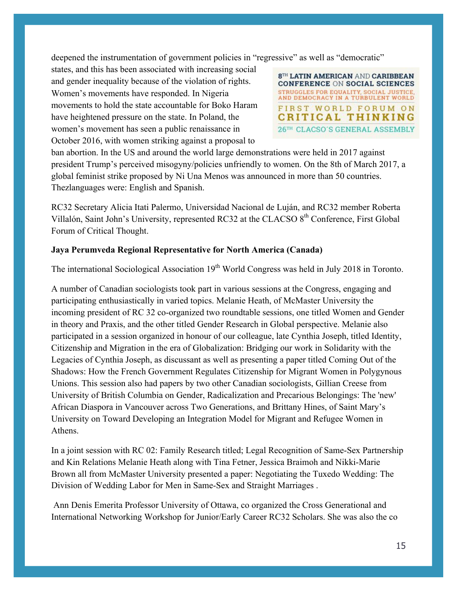deepened the instrumentation of government policies in "regressive" as well as "democratic"

states, and this has been associated with increasing social and gender inequality because of the violation of rights. Women's movements have responded. In Nigeria movements to hold the state accountable for Boko Haram have heightened pressure on the state. In Poland, the women's movement has seen a public renaissance in October 2016, with women striking against a proposal to

8TH LATIN AMERICAN AND CARIBBEAN **CONFERENCE ON SOCIAL SCIENCES** STRUGGLES FOR EQUALITY, SOCIAL JUSTICE,<br>AND DEMOCRACY IN A TURBULENT WORLD FIRST WORLD FORUM ON CRITICAL THINKING 26TH CLACSO'S GENERAL ASSEMBLY

ban abortion. In the US and around the world large demonstrations were held in 2017 against president Trump's perceived misogyny/policies unfriendly to women. On the 8th of March 2017, a global feminist strike proposed by Ni Una Menos was announced in more than 50 countries. Thezlanguages were: English and Spanish.

RC32 Secretary Alicia Itati Palermo, Universidad Nacional de Luján, and RC32 member Roberta Villalón, Saint John's University, represented RC32 at the CLACSO 8<sup>th</sup> Conference, First Global Forum of Critical Thought.

### **Jaya Perumveda Regional Representative for North America (Canada)**

The international Sociological Association 19<sup>th</sup> World Congress was held in July 2018 in Toronto.

A number of Canadian sociologists took part in various sessions at the Congress, engaging and participating enthusiastically in varied topics. Melanie Heath, of McMaster University the incoming president of RC 32 co-organized two roundtable sessions, one titled Women and Gender in theory and Praxis, and the other titled Gender Research in Global perspective. Melanie also participated in a session organized in honour of our colleague, late Cynthia Joseph, titled Identity, Citizenship and Migration in the era of Globalization: Bridging our work in Solidarity with the Legacies of Cynthia Joseph, as discussant as well as presenting a paper titled Coming Out of the Shadows: How the French Government Regulates Citizenship for Migrant Women in Polygynous Unions. This session also had papers by two other Canadian sociologists, Gillian Creese from University of British Columbia on Gender, Radicalization and Precarious Belongings: The 'new' African Diaspora in Vancouver across Two Generations, and Brittany Hines, of Saint Mary's University on Toward Developing an Integration Model for Migrant and Refugee Women in Athens.

In a joint session with RC 02: Family Research titled; Legal Recognition of Same-Sex Partnership and Kin Relations Melanie Heath along with Tina Fetner, Jessica Braimoh and Nikki-Marie Brown all from McMaster University presented a paper: Negotiating the Tuxedo Wedding: The Division of Wedding Labor for Men in Same-Sex and Straight Marriages .

Ann Denis Emerita Professor University of Ottawa, co organized the Cross Generational and International Networking Workshop for Junior/Early Career RC32 Scholars. She was also the co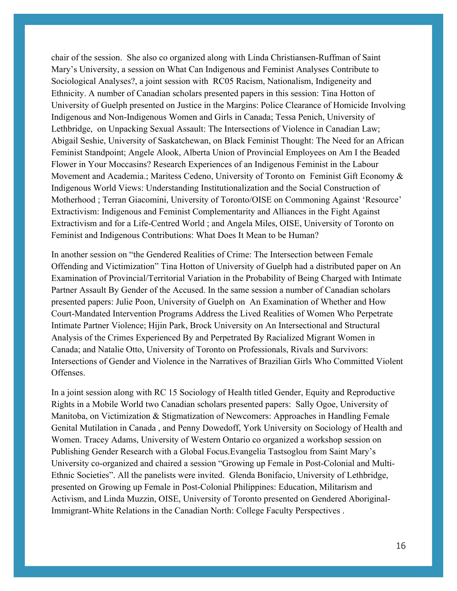chair of the session. She also co organized along with Linda Christiansen-Ruffman of Saint Mary's University, a session on What Can Indigenous and Feminist Analyses Contribute to Sociological Analyses?, a joint session with RC05 Racism, Nationalism, Indigeneity and Ethnicity. A number of Canadian scholars presented papers in this session: Tina Hotton of University of Guelph presented on Justice in the Margins: Police Clearance of Homicide Involving Indigenous and Non-Indigenous Women and Girls in Canada; Tessa Penich, University of Lethbridge, on Unpacking Sexual Assault: The Intersections of Violence in Canadian Law; Abigail Seshie, University of Saskatchewan, on Black Feminist Thought: The Need for an African Feminist Standpoint; Angele Alook, Alberta Union of Provincial Employees on Am I the Beaded Flower in Your Moccasins? Research Experiences of an Indigenous Feminist in the Labour Movement and Academia.; Maritess Cedeno, University of Toronto on Feminist Gift Economy & Indigenous World Views: Understanding Institutionalization and the Social Construction of Motherhood ; Terran Giacomini, University of Toronto/OISE on Commoning Against 'Resource' Extractivism: Indigenous and Feminist Complementarity and Alliances in the Fight Against Extractivism and for a Life-Centred World ; and Angela Miles, OISE, University of Toronto on Feminist and Indigenous Contributions: What Does It Mean to be Human?

In another session on "the Gendered Realities of Crime: The Intersection between Female Offending and Victimization" Tina Hotton of University of Guelph had a distributed paper on An Examination of Provincial/Territorial Variation in the Probability of Being Charged with Intimate Partner Assault By Gender of the Accused. In the same session a number of Canadian scholars presented papers: Julie Poon, University of Guelph on An Examination of Whether and How Court-Mandated Intervention Programs Address the Lived Realities of Women Who Perpetrate Intimate Partner Violence; Hijin Park, Brock University on An Intersectional and Structural Analysis of the Crimes Experienced By and Perpetrated By Racialized Migrant Women in Canada; and Natalie Otto, University of Toronto on Professionals, Rivals and Survivors: Intersections of Gender and Violence in the Narratives of Brazilian Girls Who Committed Violent **Offenses** 

In a joint session along with RC 15 Sociology of Health titled Gender, Equity and Reproductive Rights in a Mobile World two Canadian scholars presented papers: Sally Ogoe, University of Manitoba, on Victimization & Stigmatization of Newcomers: Approaches in Handling Female Genital Mutilation in Canada , and Penny Dowedoff, York University on Sociology of Health and Women. Tracey Adams, University of Western Ontario co organized a workshop session on Publishing Gender Research with a Global Focus.Evangelia Tastsoglou from Saint Mary's University co-organized and chaired a session "Growing up Female in Post-Colonial and Multi-Ethnic Societies". All the panelists were invited. Glenda Bonifacio, University of Lethbridge, presented on Growing up Female in Post-Colonial Philippines: Education, Militarism and Activism, and Linda Muzzin, OISE, University of Toronto presented on Gendered Aboriginal-Immigrant-White Relations in the Canadian North: College Faculty Perspectives .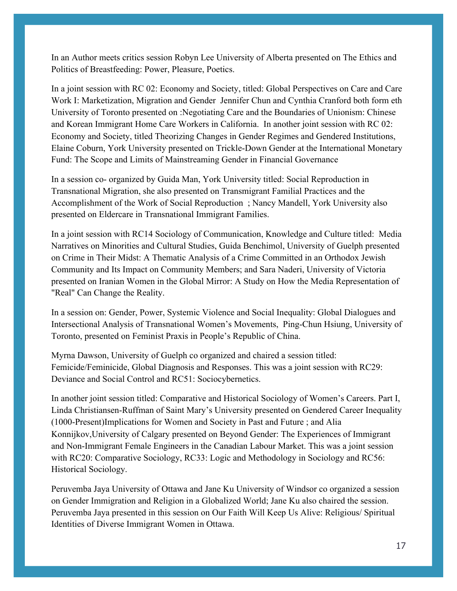In an Author meets critics session Robyn Lee University of Alberta presented on The Ethics and Politics of Breastfeeding: Power, Pleasure, Poetics.

In a joint session with RC 02: Economy and Society, titled: Global Perspectives on Care and Care Work I: Marketization, Migration and Gender Jennifer Chun and Cynthia Cranford both form eth University of Toronto presented on :Negotiating Care and the Boundaries of Unionism: Chinese and Korean Immigrant Home Care Workers in California. In another joint session with RC 02: Economy and Society, titled Theorizing Changes in Gender Regimes and Gendered Institutions, Elaine Coburn, York University presented on Trickle-Down Gender at the International Monetary Fund: The Scope and Limits of Mainstreaming Gender in Financial Governance

In a session co- organized by Guida Man, York University titled: Social Reproduction in Transnational Migration, she also presented on Transmigrant Familial Practices and the Accomplishment of the Work of Social Reproduction ; Nancy Mandell, York University also presented on Eldercare in Transnational Immigrant Families.

In a joint session with RC14 Sociology of Communication, Knowledge and Culture titled: Media Narratives on Minorities and Cultural Studies, Guida Benchimol, University of Guelph presented on Crime in Their Midst: A Thematic Analysis of a Crime Committed in an Orthodox Jewish Community and Its Impact on Community Members; and Sara Naderi, University of Victoria presented on Iranian Women in the Global Mirror: A Study on How the Media Representation of "Real" Can Change the Reality.

In a session on: Gender, Power, Systemic Violence and Social Inequality: Global Dialogues and Intersectional Analysis of Transnational Women's Movements, Ping-Chun Hsiung, University of Toronto, presented on Feminist Praxis in People's Republic of China.

Myrna Dawson, University of Guelph co organized and chaired a session titled: Femicide/Feminicide, Global Diagnosis and Responses. This was a joint session with RC29: Deviance and Social Control and RC51: Sociocybernetics.

In another joint session titled: Comparative and Historical Sociology of Women's Careers. Part I, Linda Christiansen-Ruffman of Saint Mary's University presented on Gendered Career Inequality (1000-Present)Implications for Women and Society in Past and Future ; and Alia Konnijkov,University of Calgary presented on Beyond Gender: The Experiences of Immigrant and Non-Immigrant Female Engineers in the Canadian Labour Market. This was a joint session with RC20: Comparative Sociology, RC33: Logic and Methodology in Sociology and RC56: Historical Sociology.

Peruvemba Jaya University of Ottawa and Jane Ku University of Windsor co organized a session on Gender Immigration and Religion in a Globalized World; Jane Ku also chaired the session. Peruvemba Jaya presented in this session on Our Faith Will Keep Us Alive: Religious/ Spiritual Identities of Diverse Immigrant Women in Ottawa.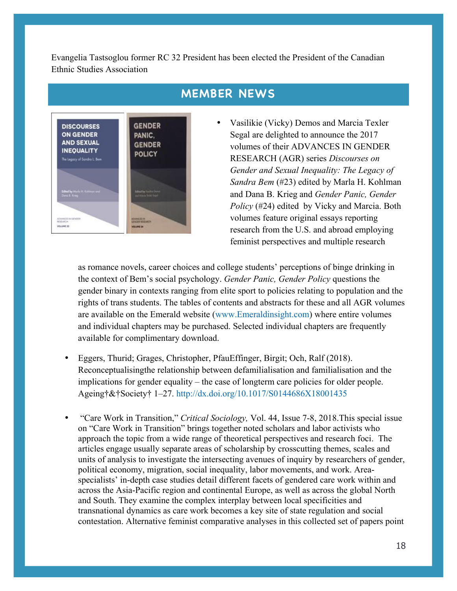Evangelia Tastsoglou former RC 32 President has been elected the President of the Canadian Ethnic Studies Association



## **MEMBER NEWS**

• Vasilikie (Vicky) Demos and Marcia Texler Segal are delighted to announce the 2017 volumes of their ADVANCES IN GENDER RESEARCH (AGR) series *Discourses on Gender and Sexual Inequality: The Legacy of Sandra Bem* (#23) edited by Marla H. Kohlman and Dana B. Krieg and *Gender Panic, Gender Policy* (#24) edited by Vicky and Marcia. Both volumes feature original essays reporting research from the U.S. and abroad employing feminist perspectives and multiple research

as romance novels, career choices and college students' perceptions of binge drinking in the context of Bem's social psychology. *Gender Panic, Gender Policy* questions the gender binary in contexts ranging from elite sport to policies relating to population and the rights of trans students. The tables of contents and abstracts for these and all AGR volumes are available on the Emerald website (www.Emeraldinsight.com) where entire volumes and individual chapters may be purchased. Selected individual chapters are frequently available for complimentary download.

- Eggers, Thurid; Grages, Christopher, PfauEffinger, Birgit; Och, Ralf (2018). Reconceptualisingthe relationship between defamilialisation and familialisation and the implications for gender equality – the case of longterm care policies for older people. Ageing†&†Society† 1–27. http://dx.doi.org/10.1017/S0144686X18001435
- "Care Work in Transition," *Critical Sociology,* Vol. 44, Issue 7-8, 2018.This special issue on "Care Work in Transition" brings together noted scholars and labor activists who approach the topic from a wide range of theoretical perspectives and research foci. The articles engage usually separate areas of scholarship by crosscutting themes, scales and units of analysis to investigate the intersecting avenues of inquiry by researchers of gender, political economy, migration, social inequality, labor movements, and work. Areaspecialists' in-depth case studies detail different facets of gendered care work within and across the Asia-Pacific region and continental Europe, as well as across the global North and South. They examine the complex interplay between local specificities and transnational dynamics as care work becomes a key site of state regulation and social contestation. Alternative feminist comparative analyses in this collected set of papers point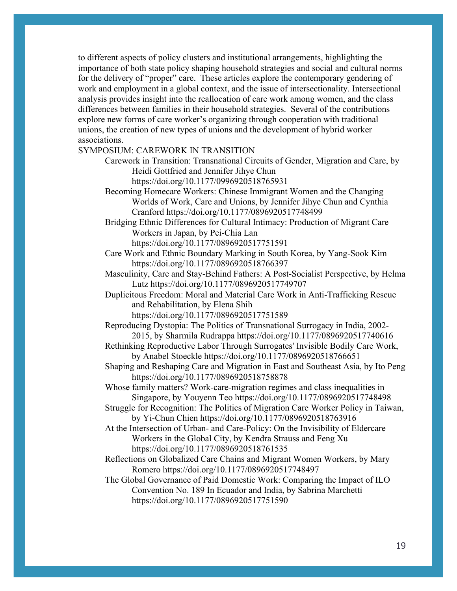to different aspects of policy clusters and institutional arrangements, highlighting the importance of both state policy shaping household strategies and social and cultural norms for the delivery of "proper" care. These articles explore the contemporary gendering of work and employment in a global context, and the issue of intersectionality. Intersectional analysis provides insight into the reallocation of care work among women, and the class differences between families in their household strategies. Several of the contributions explore new forms of care worker's organizing through cooperation with traditional unions, the creation of new types of unions and the development of hybrid worker associations.

#### SYMPOSIUM: CAREWORK IN TRANSITION

Carework in Transition: Transnational Circuits of Gender, Migration and Care, by Heidi Gottfried and Jennifer Jihye Chun

https://doi.org/10.1177/0996920518765931

Becoming Homecare Workers: Chinese Immigrant Women and the Changing Worlds of Work, Care and Unions, by Jennifer Jihye Chun and Cynthia Cranford https://doi.org/10.1177/0896920517748499

Bridging Ethnic Differences for Cultural Intimacy: Production of Migrant Care Workers in Japan, by Pei-Chia Lan

https://doi.org/10.1177/0896920517751591

Care Work and Ethnic Boundary Marking in South Korea, by Yang-Sook Kim https://doi.org/10.1177/0896920518766397

Masculinity, Care and Stay-Behind Fathers: A Post-Socialist Perspective, by Helma Lutz https://doi.org/10.1177/0896920517749707

Duplicitous Freedom: Moral and Material Care Work in Anti-Trafficking Rescue and Rehabilitation, by Elena Shih

https://doi.org/10.1177/0896920517751589

Reproducing Dystopia: The Politics of Transnational Surrogacy in India, 2002- 2015, by Sharmila Rudrappa https://doi.org/10.1177/0896920517740616

- Rethinking Reproductive Labor Through Surrogates' Invisible Bodily Care Work, by Anabel Stoeckle https://doi.org/10.1177/0896920518766651
- Shaping and Reshaping Care and Migration in East and Southeast Asia, by Ito Peng https://doi.org/10.1177/0896920518758878

Whose family matters? Work-care-migration regimes and class inequalities in Singapore, by Youyenn Teo https://doi.org/10.1177/0896920517748498

Struggle for Recognition: The Politics of Migration Care Worker Policy in Taiwan, by Yi-Chun Chien https://doi.org/10.1177/0896920518763916

At the Intersection of Urban- and Care-Policy: On the Invisibility of Eldercare Workers in the Global City, by Kendra Strauss and Feng Xu https://doi.org/10.1177/0896920518761535

Reflections on Globalized Care Chains and Migrant Women Workers, by Mary Romero https://doi.org/10.1177/0896920517748497

The Global Governance of Paid Domestic Work: Comparing the Impact of ILO Convention No. 189 In Ecuador and India, by Sabrina Marchetti https://doi.org/10.1177/0896920517751590